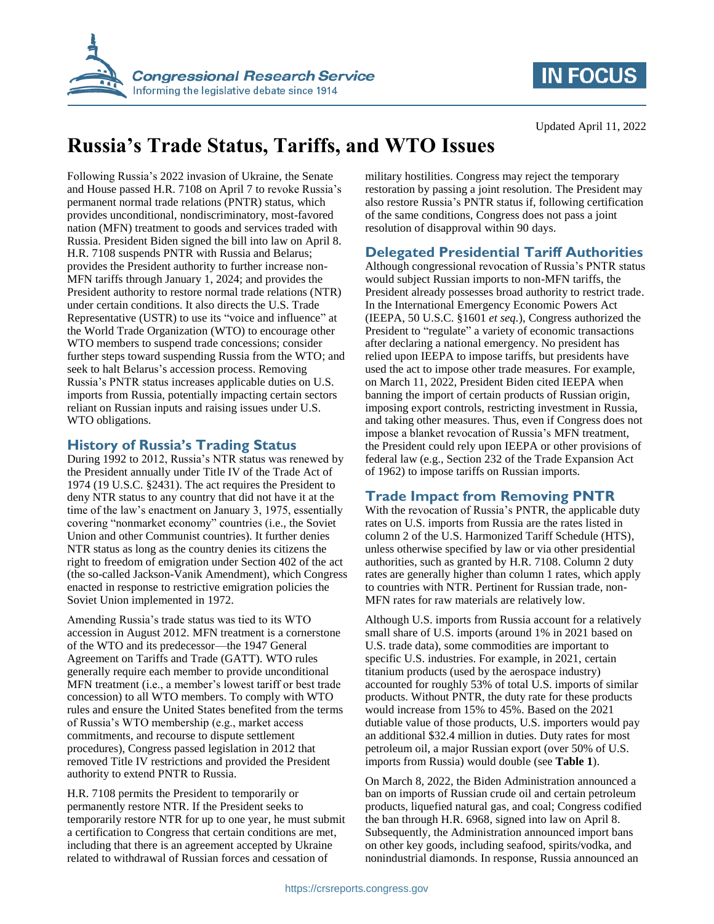

# **IN FOCUS**

# **Russia's Trade Status, Tariffs, and WTO Issues**

Following Russia's 2022 invasion of Ukraine, the Senate and House passed H.R. 7108 on April 7 to revoke Russia's permanent normal trade relations (PNTR) status, which provides unconditional, nondiscriminatory, most-favored nation (MFN) treatment to goods and services traded with Russia. President Biden signed the bill into law on April 8. H.R. 7108 suspends PNTR with Russia and Belarus; provides the President authority to further increase non-MFN tariffs through January 1, 2024; and provides the President authority to restore normal trade relations (NTR) under certain conditions. It also directs the U.S. Trade Representative (USTR) to use its "voice and influence" at the World Trade Organization (WTO) to encourage other WTO members to suspend trade concessions; consider further steps toward suspending Russia from the WTO; and seek to halt Belarus's accession process. Removing Russia's PNTR status increases applicable duties on U.S. imports from Russia, potentially impacting certain sectors reliant on Russian inputs and raising issues under U.S. WTO obligations.

## **History of Russia's Trading Status**

During 1992 to 2012, Russia's NTR status was renewed by the President annually under Title IV of the Trade Act of 1974 (19 U.S.C. §2431). The act requires the President to deny NTR status to any country that did not have it at the time of the law's enactment on January 3, 1975, essentially covering "nonmarket economy" countries (i.e., the Soviet Union and other Communist countries). It further denies NTR status as long as the country denies its citizens the right to freedom of emigration under Section 402 of the act (the so-called Jackson-Vanik Amendment), which Congress enacted in response to restrictive emigration policies the Soviet Union implemented in 1972.

Amending Russia's trade status was tied to its WTO accession in August 2012. MFN treatment is a cornerstone of the WTO and its predecessor—the 1947 General Agreement on Tariffs and Trade (GATT). WTO rules generally require each member to provide unconditional MFN treatment (i.e., a member's lowest tariff or best trade concession) to all WTO members. To comply with WTO rules and ensure the United States benefited from the terms of Russia's WTO membership (e.g., market access commitments, and recourse to dispute settlement procedures), Congress passed legislation in 2012 that removed Title IV restrictions and provided the President authority to extend PNTR to Russia.

H.R. 7108 permits the President to temporarily or permanently restore NTR. If the President seeks to temporarily restore NTR for up to one year, he must submit a certification to Congress that certain conditions are met, including that there is an agreement accepted by Ukraine related to withdrawal of Russian forces and cessation of

military hostilities. Congress may reject the temporary restoration by passing a joint resolution. The President may also restore Russia's PNTR status if, following certification of the same conditions, Congress does not pass a joint resolution of disapproval within 90 days.

## **Delegated Presidential Tariff Authorities**

Although congressional revocation of Russia's PNTR status would subject Russian imports to non-MFN tariffs, the President already possesses broad authority to restrict trade. In the International Emergency Economic Powers Act (IEEPA, 50 U.S.C. §1601 *et seq.*), Congress authorized the President to "regulate" a variety of economic transactions after declaring a national emergency. No president has relied upon IEEPA to impose tariffs, but presidents have used the act to impose other trade measures. For example, on March 11, 2022, President Biden cited IEEPA when banning the import of certain products of Russian origin, imposing export controls, restricting investment in Russia, and taking other measures. Thus, even if Congress does not impose a blanket revocation of Russia's MFN treatment, the President could rely upon IEEPA or other provisions of federal law (e.g., Section 232 of the Trade Expansion Act of 1962) to impose tariffs on Russian imports.

## **Trade Impact from Removing PNTR**

With the revocation of Russia's PNTR, the applicable duty rates on U.S. imports from Russia are the rates listed in column 2 of the U.S. Harmonized Tariff Schedule (HTS), unless otherwise specified by law or via other presidential authorities, such as granted by H.R. 7108. Column 2 duty rates are generally higher than column 1 rates, which apply to countries with NTR. Pertinent for Russian trade, non-MFN rates for raw materials are relatively low.

Although U.S. imports from Russia account for a relatively small share of U.S. imports (around 1% in 2021 based on U.S. trade data), some commodities are important to specific U.S. industries. For example, in 2021, certain titanium products (used by the aerospace industry) accounted for roughly 53% of total U.S. imports of similar products. Without PNTR, the duty rate for these products would increase from 15% to 45%. Based on the 2021 dutiable value of those products, U.S. importers would pay an additional \$32.4 million in duties. Duty rates for most petroleum oil, a major Russian export (over 50% of U.S. imports from Russia) would double (see **[Table 1](#page-1-0)**).

On March 8, 2022, the Biden Administration announced a ban on imports of Russian crude oil and certain petroleum products, liquefied natural gas, and coal; Congress codified the ban through H.R. 6968, signed into law on April 8. Subsequently, the Administration announced import bans on other key goods, including seafood, spirits/vodka, and nonindustrial diamonds. In response, Russia announced an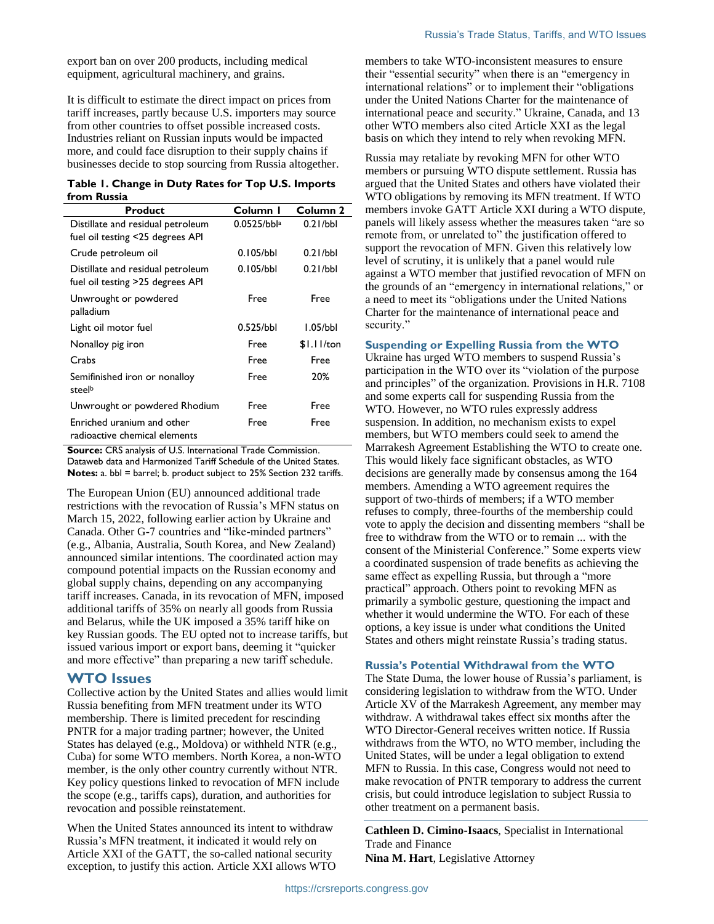export ban on over 200 products, including medical equipment, agricultural machinery, and grains.

It is difficult to estimate the direct impact on prices from tariff increases, partly because U.S. importers may source from other countries to offset possible increased costs. Industries reliant on Russian inputs would be impacted more, and could face disruption to their supply chains if businesses decide to stop sourcing from Russia altogether.

#### <span id="page-1-0"></span>**Table 1. Change in Duty Rates for Top U.S. Imports from Russia**

| <b>Product</b>                                                        | Column I       | Column 2     |
|-----------------------------------------------------------------------|----------------|--------------|
| Distillate and residual petroleum<br>fuel oil testing <25 degrees API | $0.0525/bbl^a$ | 0.21/bbl     |
| Crude petroleum oil                                                   | 0.105/bbl      | 0.21/bbl     |
| Distillate and residual petroleum<br>fuel oil testing >25 degrees API | 0.105/bbl      | 0.21/bbl     |
| Unwrought or powdered<br>palladium                                    | Free           | Free         |
| Light oil motor fuel                                                  | 0.525/bbl      | 1.05/bbl     |
| Nonalloy pig iron                                                     | Free           | $$1.11$ /ton |
| Crabs                                                                 | Free           | Free         |
| Semifinished iron or nonalloy<br>steelb                               | Free           | 20%          |
| Unwrought or powdered Rhodium                                         | Free           | Free         |
| Enriched uranium and other<br>radioactive chemical elements           | Free           | Free         |

**Source: CRS analysis of U.S. International Trade Commission.** Dataweb data and Harmonized Tariff Schedule of the United States. **Notes:** a. bbl = barrel; b. product subject to 25% Section 232 tariffs.

The European Union (EU) announced additional trade restrictions with the revocation of Russia's MFN status on March 15, 2022, following earlier action by Ukraine and Canada. Other G-7 countries and "like-minded partners" (e.g., Albania, Australia, South Korea, and New Zealand) announced similar intentions. The coordinated action may compound potential impacts on the Russian economy and global supply chains, depending on any accompanying tariff increases. Canada, in its revocation of MFN, imposed additional tariffs of 35% on nearly all goods from Russia and Belarus, while the UK imposed a 35% tariff hike on key Russian goods. The EU opted not to increase tariffs, but issued various import or export bans, deeming it "quicker and more effective" than preparing a new tariff schedule.

### **WTO Issues**

Collective action by the United States and allies would limit Russia benefiting from MFN treatment under its WTO membership. There is limited precedent for rescinding PNTR for a major trading partner; however, the United States has delayed (e.g., Moldova) or withheld NTR (e.g., Cuba) for some WTO members. North Korea, a non-WTO member, is the only other country currently without NTR. Key policy questions linked to revocation of MFN include the scope (e.g., tariffs caps), duration, and authorities for revocation and possible reinstatement.

When the United States announced its intent to withdraw Russia's MFN treatment, it indicated it would rely on Article XXI of the GATT, the so-called national security exception, to justify this action. Article XXI allows WTO members to take WTO-inconsistent measures to ensure their "essential security" when there is an "emergency in international relations" or to implement their "obligations under the United Nations Charter for the maintenance of international peace and security." Ukraine, Canada, and 13 other WTO members also cited Article XXI as the legal basis on which they intend to rely when revoking MFN.

Russia may retaliate by revoking MFN for other WTO members or pursuing WTO dispute settlement. Russia has argued that the United States and others have violated their WTO obligations by removing its MFN treatment. If WTO members invoke GATT Article XXI during a WTO dispute, panels will likely assess whether the measures taken "are so remote from, or unrelated to" the justification offered to support the revocation of MFN. Given this relatively low level of scrutiny, it is unlikely that a panel would rule against a WTO member that justified revocation of MFN on the grounds of an "emergency in international relations," or a need to meet its "obligations under the United Nations Charter for the maintenance of international peace and security."

### **Suspending or Expelling Russia from the WTO**

Ukraine has urged WTO members to suspend Russia's participation in the WTO over its "violation of the purpose and principles" of the organization. Provisions in H.R. 7108 and some experts call for suspending Russia from the WTO. However, no WTO rules expressly address suspension. In addition, no mechanism exists to expel members, but WTO members could seek to amend the Marrakesh Agreement Establishing the WTO to create one. This would likely face significant obstacles, as WTO decisions are generally made by consensus among the 164 members. Amending a WTO agreement requires the support of two-thirds of members; if a WTO member refuses to comply, three-fourths of the membership could vote to apply the decision and dissenting members "shall be free to withdraw from the WTO or to remain ... with the consent of the Ministerial Conference." Some experts view a coordinated suspension of trade benefits as achieving the same effect as expelling Russia, but through a "more practical" approach. Others point to revoking MFN as primarily a symbolic gesture, questioning the impact and whether it would undermine the WTO. For each of these options, a key issue is under what conditions the United States and others might reinstate Russia's trading status.

#### **Russia's Potential Withdrawal from the WTO**

The State Duma, the lower house of Russia's parliament, is considering legislation to withdraw from the WTO. Under Article XV of the Marrakesh Agreement, any member may withdraw. A withdrawal takes effect six months after the WTO Director-General receives written notice. If Russia withdraws from the WTO, no WTO member, including the United States, will be under a legal obligation to extend MFN to Russia. In this case, Congress would not need to make revocation of PNTR temporary to address the current crisis, but could introduce legislation to subject Russia to other treatment on a permanent basis.

**Cathleen D. Cimino-Isaacs**, Specialist in International Trade and Finance **Nina M. Hart**, Legislative Attorney